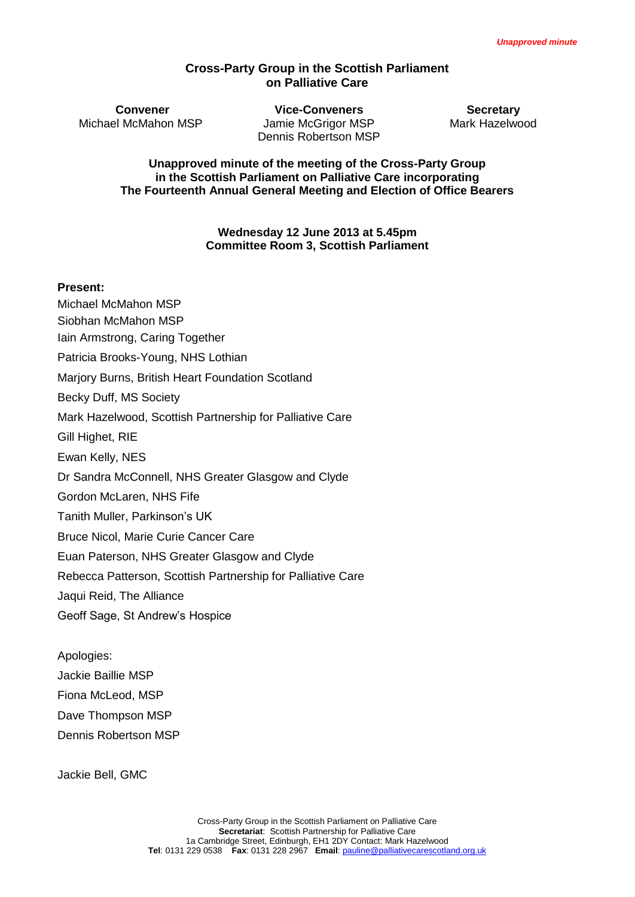#### **Cross-Party Group in the Scottish Parliament on Palliative Care**

**Convener Vice-Conveners Secretary** Michael McMahon MSP Jamie McGrigor MSP Mark Hazelwood Dennis Robertson MSP

**Unapproved minute of the meeting of the Cross-Party Group in the Scottish Parliament on Palliative Care incorporating The Fourteenth Annual General Meeting and Election of Office Bearers**

> **Wednesday 12 June 2013 at 5.45pm Committee Room 3, Scottish Parliament**

#### **Present:**

- Michael McMahon MSP
- Siobhan McMahon MSP
- Iain Armstrong, Caring Together
- Patricia Brooks-Young, NHS Lothian
- Marjory Burns, British Heart Foundation Scotland
- Becky Duff, MS Society
- Mark Hazelwood, Scottish Partnership for Palliative Care
- Gill Highet, RIE
- Ewan Kelly, NES
- Dr Sandra McConnell, NHS Greater Glasgow and Clyde
- Gordon McLaren, NHS Fife
- Tanith Muller, Parkinson's UK
- Bruce Nicol, Marie Curie Cancer Care
- Euan Paterson, NHS Greater Glasgow and Clyde
- Rebecca Patterson, Scottish Partnership for Palliative Care
- Jaqui Reid, The Alliance
- Geoff Sage, St Andrew's Hospice

Apologies:

- Jackie Baillie MSP
- Fiona McLeod, MSP
- Dave Thompson MSP
- Dennis Robertson MSP

Jackie Bell, GMC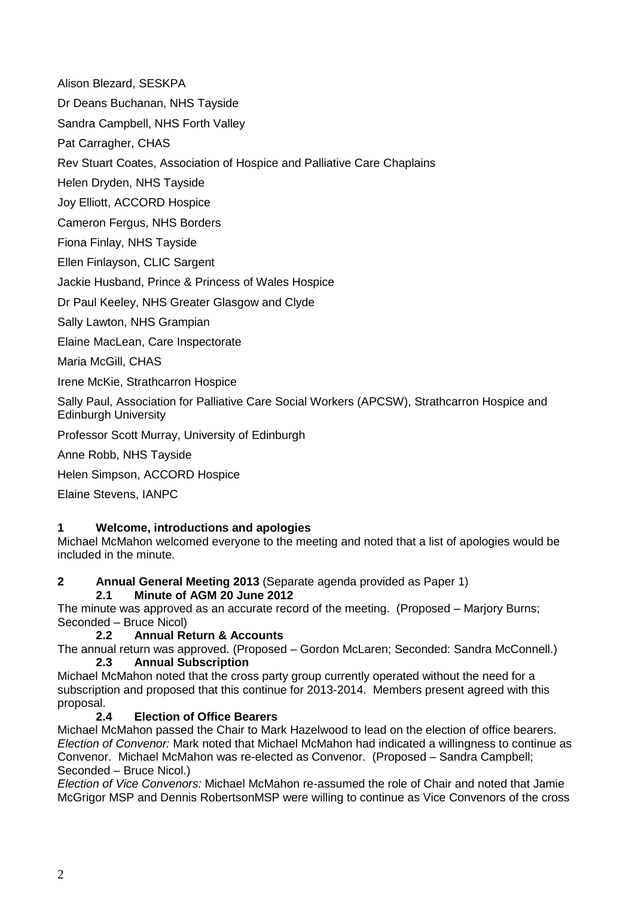Alison Blezard, SESKPA

Dr Deans Buchanan, NHS Tayside

Sandra Campbell, NHS Forth Valley

Pat Carragher, CHAS

Rev Stuart Coates, Association of Hospice and Palliative Care Chaplains

Helen Dryden, NHS Tayside

Joy Elliott, ACCORD Hospice

Cameron Fergus, NHS Borders

Fiona Finlay, NHS Tayside

Ellen Finlayson, CLIC Sargent

Jackie Husband, Prince & Princess of Wales Hospice

Dr Paul Keeley, NHS Greater Glasgow and Clyde

Sally Lawton, NHS Grampian

Elaine MacLean, Care Inspectorate

Maria McGill, CHAS

Irene McKie, Strathcarron Hospice

Sally Paul, Association for Palliative Care Social Workers (APCSW), Strathcarron Hospice and Edinburgh University

Professor Scott Murray, University of Edinburgh

Anne Robb, NHS Tayside

Helen Simpson, ACCORD Hospice

Elaine Stevens, IANPC

### **1 Welcome, introductions and apologies**

Michael McMahon welcomed everyone to the meeting and noted that a list of apologies would be included in the minute.

#### **2 Annual General Meeting 2013** (Separate agenda provided as Paper 1) **2.1 Minute of AGM 20 June 2012**

The minute was approved as an accurate record of the meeting. (Proposed – Marjory Burns; Seconded – Bruce Nicol)

### **2.2 Annual Return & Accounts**

The annual return was approved. (Proposed – Gordon McLaren; Seconded: Sandra McConnell.) **2.3 Annual Subscription**

Michael McMahon noted that the cross party group currently operated without the need for a subscription and proposed that this continue for 2013-2014. Members present agreed with this proposal.

# **2.4 Election of Office Bearers**

Michael McMahon passed the Chair to Mark Hazelwood to lead on the election of office bearers. *Election of Convenor:* Mark noted that Michael McMahon had indicated a willingness to continue as Convenor. Michael McMahon was re-elected as Convenor. (Proposed – Sandra Campbell; Seconded – Bruce Nicol.)

*Election of Vice Convenors:* Michael McMahon re-assumed the role of Chair and noted that Jamie McGrigor MSP and Dennis RobertsonMSP were willing to continue as Vice Convenors of the cross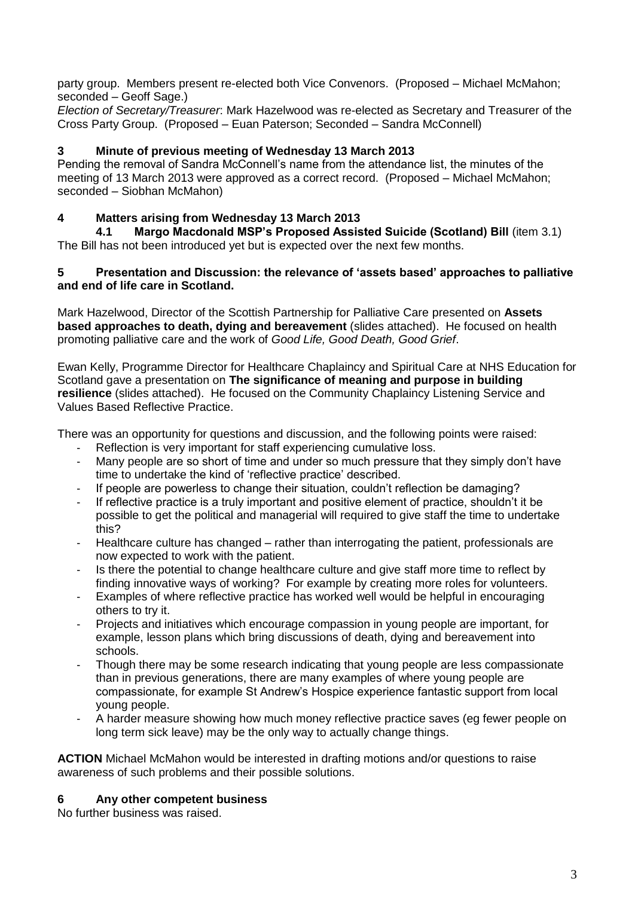party group. Members present re-elected both Vice Convenors. (Proposed – Michael McMahon; seconded – Geoff Sage.)

*Election of Secretary/Treasurer*: Mark Hazelwood was re-elected as Secretary and Treasurer of the Cross Party Group. (Proposed – Euan Paterson; Seconded – Sandra McConnell)

## **3 Minute of previous meeting of Wednesday 13 March 2013**

Pending the removal of Sandra McConnell's name from the attendance list, the minutes of the meeting of 13 March 2013 were approved as a correct record. (Proposed – Michael McMahon; seconded – Siobhan McMahon)

## **4 Matters arising from Wednesday 13 March 2013**

**4.1 Margo Macdonald MSP's Proposed Assisted Suicide (Scotland) Bill** (item 3.1) The Bill has not been introduced yet but is expected over the next few months.

#### **5 Presentation and Discussion: the relevance of 'assets based' approaches to palliative and end of life care in Scotland.**

Mark Hazelwood, Director of the Scottish Partnership for Palliative Care presented on **Assets based approaches to death, dying and bereavement** (slides attached). He focused on health promoting palliative care and the work of *Good Life, Good Death, Good Grief*.

Ewan Kelly, Programme Director for Healthcare Chaplaincy and Spiritual Care at NHS Education for Scotland gave a presentation on **The significance of meaning and purpose in building resilience** (slides attached). He focused on the Community Chaplaincy Listening Service and Values Based Reflective Practice.

There was an opportunity for questions and discussion, and the following points were raised:

- Reflection is very important for staff experiencing cumulative loss.
- Many people are so short of time and under so much pressure that they simply don't have time to undertake the kind of 'reflective practice' described.
- If people are powerless to change their situation, couldn't reflection be damaging?
- If reflective practice is a truly important and positive element of practice, shouldn't it be possible to get the political and managerial will required to give staff the time to undertake this?
- Healthcare culture has changed rather than interrogating the patient, professionals are now expected to work with the patient.
- Is there the potential to change healthcare culture and give staff more time to reflect by finding innovative ways of working? For example by creating more roles for volunteers.
- Examples of where reflective practice has worked well would be helpful in encouraging others to try it.
- Projects and initiatives which encourage compassion in young people are important, for example, lesson plans which bring discussions of death, dying and bereavement into schools.
- Though there may be some research indicating that young people are less compassionate than in previous generations, there are many examples of where young people are compassionate, for example St Andrew's Hospice experience fantastic support from local young people.
- A harder measure showing how much money reflective practice saves (eg fewer people on long term sick leave) may be the only way to actually change things.

**ACTION** Michael McMahon would be interested in drafting motions and/or questions to raise awareness of such problems and their possible solutions.

### **6 Any other competent business**

No further business was raised.